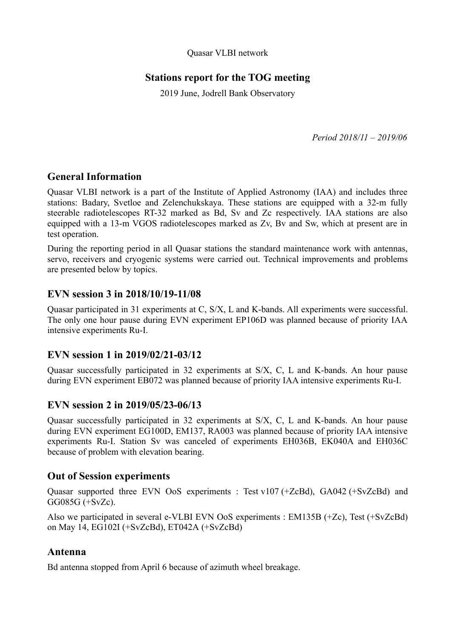Quasar VLBI network

# **Stations report for the TOG meeting**

2019 June, Jodrell Bank Observatory

*Period 2018/11 – 2019/06*

## **General Information**

Quasar VLBI network is a part of the Institute of Applied Astronomy (IAA) and includes three stations: Badary, Svetloe and Zelenchukskaya. These stations are equipped with a 32-m fully steerable radiotelescopes RT-32 marked as Bd, Sv and Zc respectively. IAA stations are also equipped with a 13-m VGOS radiotelescopes marked as Zv, Bv and Sw, which at present are in test operation.

During the reporting period in all Quasar stations the standard maintenance work with antennas, servo, receivers and cryogenic systems were carried out. Technical improvements and problems are presented below by topics.

## **EVN session 3 in 2018/10/19-11/08**

Quasar participated in 31 experiments at C, S/X, L and K-bands. All experiments were successful. The only one hour pause during EVN experiment EP106D was planned because of priority IAA intensive experiments Ru-I.

## **EVN session 1 in 2019/02/21-03/12**

Quasar successfully participated in 32 experiments at S/X, C, L and K-bands. An hour pause during EVN experiment EB072 was planned because of priority IAA intensive experiments Ru-I.

## **EVN session 2 in 2019/05/23-06/13**

Quasar successfully participated in 32 experiments at S/X, C, L and K-bands. An hour pause during EVN experiment EG100D, EM137, RA003 was planned because of priority IAA intensive experiments Ru-I. Station Sv was canceled of experiments EH036B, EK040A and EH036C because of problem with elevation bearing.

## **Out of Session experiments**

Quasar supported three EVN OoS experiments : Test v107 (+ZcBd), GA042 (+SvZcBd) and GG085G (+SvZc).

Also we participated in several e-VLBI EVN OoS experiments : EM135B (+Zc), Test (+SvZcBd) on May 14, EG102I (+SvZcBd), ET042A (+SvZcBd)

## **Antenna**

Bd antenna stopped from April 6 because of azimuth wheel breakage.